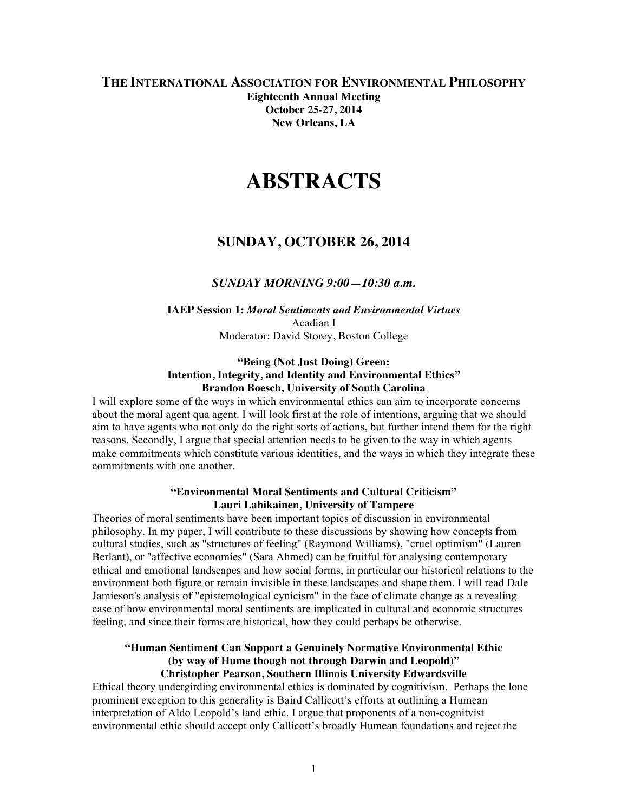### **THE INTERNATIONAL ASSOCIATION FOR ENVIRONMENTAL PHILOSOPHY Eighteenth Annual Meeting October 25-27, 2014 New Orleans, LA**

# **ABSTRACTS**

# **SUNDAY, OCTOBER 26, 2014**

### *SUNDAY MORNING 9:00—10:30 a.m.*

### **IAEP Session 1:** *Moral Sentiments and Environmental Virtues* Acadian I Moderator: David Storey, Boston College

### **"Being (Not Just Doing) Green: Intention, Integrity, and Identity and Environmental Ethics" Brandon Boesch, University of South Carolina**

I will explore some of the ways in which environmental ethics can aim to incorporate concerns about the moral agent qua agent. I will look first at the role of intentions, arguing that we should aim to have agents who not only do the right sorts of actions, but further intend them for the right reasons. Secondly, I argue that special attention needs to be given to the way in which agents make commitments which constitute various identities, and the ways in which they integrate these commitments with one another.

### **"Environmental Moral Sentiments and Cultural Criticism" Lauri Lahikainen, University of Tampere**

Theories of moral sentiments have been important topics of discussion in environmental philosophy. In my paper, I will contribute to these discussions by showing how concepts from cultural studies, such as "structures of feeling" (Raymond Williams), "cruel optimism" (Lauren Berlant), or "affective economies" (Sara Ahmed) can be fruitful for analysing contemporary ethical and emotional landscapes and how social forms, in particular our historical relations to the environment both figure or remain invisible in these landscapes and shape them. I will read Dale Jamieson's analysis of "epistemological cynicism" in the face of climate change as a revealing case of how environmental moral sentiments are implicated in cultural and economic structures feeling, and since their forms are historical, how they could perhaps be otherwise.

### **"Human Sentiment Can Support a Genuinely Normative Environmental Ethic (by way of Hume though not through Darwin and Leopold)" Christopher Pearson, Southern Illinois University Edwardsville**

Ethical theory undergirding environmental ethics is dominated by cognitivism. Perhaps the lone prominent exception to this generality is Baird Callicott's efforts at outlining a Humean interpretation of Aldo Leopold's land ethic. I argue that proponents of a non-cognitvist environmental ethic should accept only Callicott's broadly Humean foundations and reject the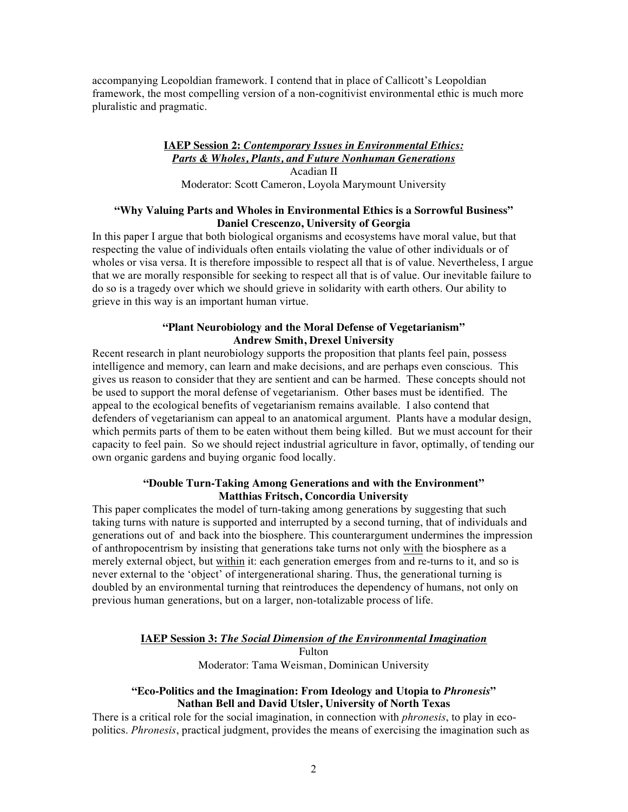accompanying Leopoldian framework. I contend that in place of Callicott's Leopoldian framework, the most compelling version of a non-cognitivist environmental ethic is much more pluralistic and pragmatic.

### **IAEP Session 2:** *Contemporary Issues in Environmental Ethics: Parts & Wholes, Plants, and Future Nonhuman Generations* Acadian II Moderator: Scott Cameron, Loyola Marymount University

### **"Why Valuing Parts and Wholes in Environmental Ethics is a Sorrowful Business" Daniel Crescenzo, University of Georgia**

In this paper I argue that both biological organisms and ecosystems have moral value, but that respecting the value of individuals often entails violating the value of other individuals or of wholes or visa versa. It is therefore impossible to respect all that is of value. Nevertheless, I argue that we are morally responsible for seeking to respect all that is of value. Our inevitable failure to do so is a tragedy over which we should grieve in solidarity with earth others. Our ability to grieve in this way is an important human virtue.

### **"Plant Neurobiology and the Moral Defense of Vegetarianism" Andrew Smith, Drexel University**

Recent research in plant neurobiology supports the proposition that plants feel pain, possess intelligence and memory, can learn and make decisions, and are perhaps even conscious. This gives us reason to consider that they are sentient and can be harmed. These concepts should not be used to support the moral defense of vegetarianism. Other bases must be identified. The appeal to the ecological benefits of vegetarianism remains available. I also contend that defenders of vegetarianism can appeal to an anatomical argument. Plants have a modular design, which permits parts of them to be eaten without them being killed. But we must account for their capacity to feel pain. So we should reject industrial agriculture in favor, optimally, of tending our own organic gardens and buying organic food locally.

### **"Double Turn-Taking Among Generations and with the Environment" Matthias Fritsch, Concordia University**

This paper complicates the model of turn-taking among generations by suggesting that such taking turns with nature is supported and interrupted by a second turning, that of individuals and generations out of and back into the biosphere. This counterargument undermines the impression of anthropocentrism by insisting that generations take turns not only with the biosphere as a merely external object, but within it: each generation emerges from and re-turns to it, and so is never external to the 'object' of intergenerational sharing. Thus, the generational turning is doubled by an environmental turning that reintroduces the dependency of humans, not only on previous human generations, but on a larger, non-totalizable process of life.

### **IAEP Session 3:** *The Social Dimension of the Environmental Imagination*

Fulton Moderator: Tama Weisman, Dominican University

### **"Eco-Politics and the Imagination: From Ideology and Utopia to** *Phronesis***" Nathan Bell and David Utsler, University of North Texas**

There is a critical role for the social imagination, in connection with *phronesis*, to play in ecopolitics. *Phronesis*, practical judgment, provides the means of exercising the imagination such as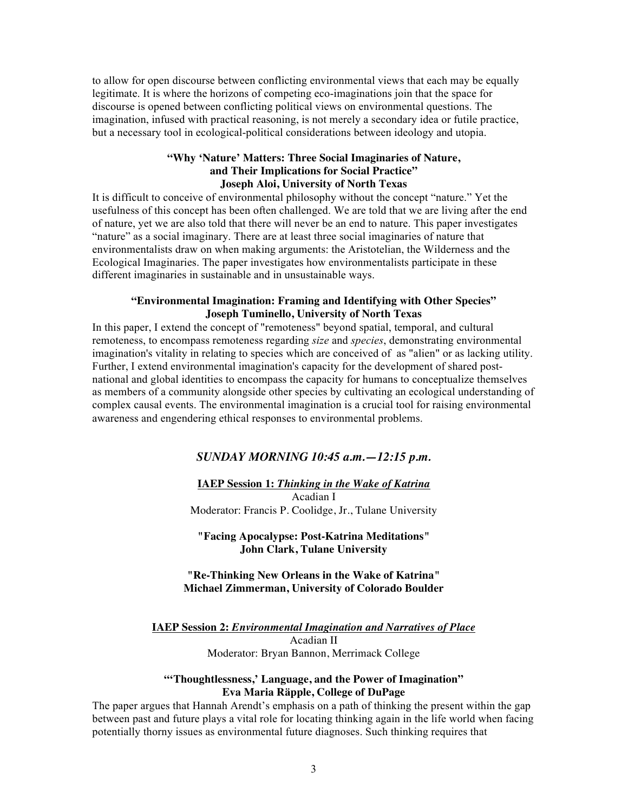to allow for open discourse between conflicting environmental views that each may be equally legitimate. It is where the horizons of competing eco-imaginations join that the space for discourse is opened between conflicting political views on environmental questions. The imagination, infused with practical reasoning, is not merely a secondary idea or futile practice, but a necessary tool in ecological-political considerations between ideology and utopia.

### **"Why 'Nature' Matters: Three Social Imaginaries of Nature, and Their Implications for Social Practice" Joseph Aloi, University of North Texas**

It is difficult to conceive of environmental philosophy without the concept "nature." Yet the usefulness of this concept has been often challenged. We are told that we are living after the end of nature, yet we are also told that there will never be an end to nature. This paper investigates "nature" as a social imaginary. There are at least three social imaginaries of nature that environmentalists draw on when making arguments: the Aristotelian, the Wilderness and the Ecological Imaginaries. The paper investigates how environmentalists participate in these different imaginaries in sustainable and in unsustainable ways.

### **"Environmental Imagination: Framing and Identifying with Other Species" Joseph Tuminello, University of North Texas**

In this paper, I extend the concept of "remoteness" beyond spatial, temporal, and cultural remoteness, to encompass remoteness regarding *size* and *species*, demonstrating environmental imagination's vitality in relating to species which are conceived of as "alien" or as lacking utility. Further, I extend environmental imagination's capacity for the development of shared postnational and global identities to encompass the capacity for humans to conceptualize themselves as members of a community alongside other species by cultivating an ecological understanding of complex causal events. The environmental imagination is a crucial tool for raising environmental awareness and engendering ethical responses to environmental problems.

# *SUNDAY MORNING 10:45 a.m.—12:15 p.m.*

### **IAEP Session 1:** *Thinking in the Wake of Katrina* Acadian I Moderator: Francis P. Coolidge, Jr., Tulane University

**"Facing Apocalypse: Post-Katrina Meditations" John Clark, Tulane University**

### **"Re-Thinking New Orleans in the Wake of Katrina" Michael Zimmerman, University of Colorado Boulder**

**IAEP Session 2:** *Environmental Imagination and Narratives of Place* Acadian II Moderator: Bryan Bannon, Merrimack College

### **"'Thoughtlessness,' Language, and the Power of Imagination" Eva Maria Räpple, College of DuPage**

The paper argues that Hannah Arendt's emphasis on a path of thinking the present within the gap between past and future plays a vital role for locating thinking again in the life world when facing potentially thorny issues as environmental future diagnoses. Such thinking requires that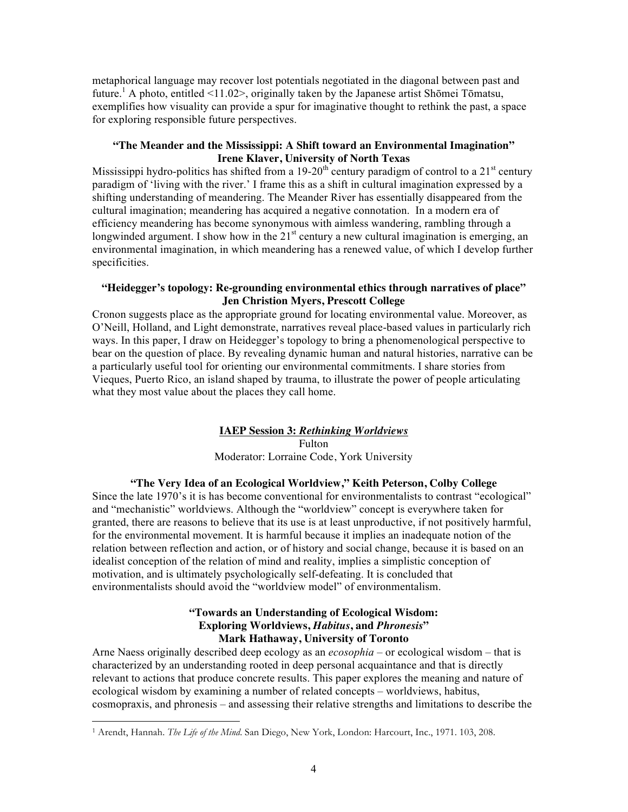metaphorical language may recover lost potentials negotiated in the diagonal between past and future.<sup>1</sup> A photo, entitled <11.02>, originally taken by the Japanese artist Shōmei Tōmatsu, exemplifies how visuality can provide a spur for imaginative thought to rethink the past, a space for exploring responsible future perspectives.

### **"The Meander and the Mississippi: A Shift toward an Environmental Imagination" Irene Klaver, University of North Texas**

Mississippi hydro-politics has shifted from a 19-20<sup>th</sup> century paradigm of control to a 21<sup>st</sup> century paradigm of 'living with the river.' I frame this as a shift in cultural imagination expressed by a shifting understanding of meandering. The Meander River has essentially disappeared from the cultural imagination; meandering has acquired a negative connotation. In a modern era of efficiency meandering has become synonymous with aimless wandering, rambling through a longwinded argument. I show how in the  $21<sup>st</sup>$  century a new cultural imagination is emerging, an environmental imagination, in which meandering has a renewed value, of which I develop further specificities.

### **"Heidegger's topology: Re-grounding environmental ethics through narratives of place" Jen Christion Myers, Prescott College**

Cronon suggests place as the appropriate ground for locating environmental value. Moreover, as O'Neill, Holland, and Light demonstrate, narratives reveal place-based values in particularly rich ways. In this paper, I draw on Heidegger's topology to bring a phenomenological perspective to bear on the question of place. By revealing dynamic human and natural histories, narrative can be a particularly useful tool for orienting our environmental commitments. I share stories from Vieques, Puerto Rico, an island shaped by trauma, to illustrate the power of people articulating what they most value about the places they call home.

# **IAEP Session 3:** *Rethinking Worldviews* Fulton

Moderator: Lorraine Code, York University

# **"The Very Idea of an Ecological Worldview," Keith Peterson, Colby College**

Since the late 1970's it is has become conventional for environmentalists to contrast "ecological" and "mechanistic" worldviews. Although the "worldview" concept is everywhere taken for granted, there are reasons to believe that its use is at least unproductive, if not positively harmful, for the environmental movement. It is harmful because it implies an inadequate notion of the relation between reflection and action, or of history and social change, because it is based on an idealist conception of the relation of mind and reality, implies a simplistic conception of motivation, and is ultimately psychologically self-defeating. It is concluded that environmentalists should avoid the "worldview model" of environmentalism.

### **"Towards an Understanding of Ecological Wisdom: Exploring Worldviews,** *Habitus***, and** *Phronesis***" Mark Hathaway, University of Toronto**

Arne Naess originally described deep ecology as an *ecosophia –* or ecological wisdom – that is characterized by an understanding rooted in deep personal acquaintance and that is directly relevant to actions that produce concrete results. This paper explores the meaning and nature of ecological wisdom by examining a number of related concepts – worldviews, habitus, cosmopraxis, and phronesis – and assessing their relative strengths and limitations to describe the

l

<sup>1</sup> Arendt, Hannah. *The Life of the Mind*. San Diego, New York, London: Harcourt, Inc., 1971. 103, 208.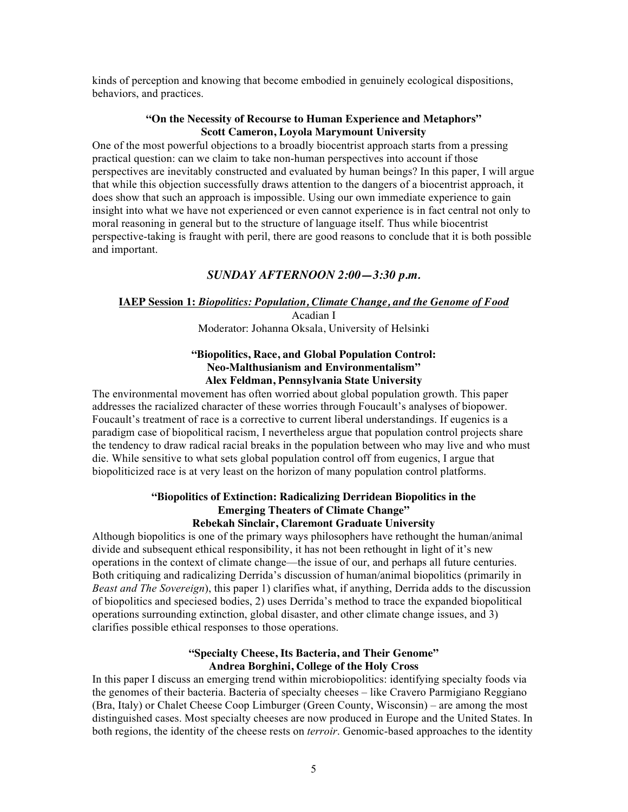kinds of perception and knowing that become embodied in genuinely ecological dispositions, behaviors, and practices.

### **"On the Necessity of Recourse to Human Experience and Metaphors" Scott Cameron, Loyola Marymount University**

One of the most powerful objections to a broadly biocentrist approach starts from a pressing practical question: can we claim to take non-human perspectives into account if those perspectives are inevitably constructed and evaluated by human beings? In this paper, I will argue that while this objection successfully draws attention to the dangers of a biocentrist approach, it does show that such an approach is impossible. Using our own immediate experience to gain insight into what we have not experienced or even cannot experience is in fact central not only to moral reasoning in general but to the structure of language itself. Thus while biocentrist perspective-taking is fraught with peril, there are good reasons to conclude that it is both possible and important.

# *SUNDAY AFTERNOON 2:00—3:30 p.m.*

# **IAEP Session 1:** *Biopolitics: Population, Climate Change, and the Genome of Food*

Acadian I Moderator: Johanna Oksala, University of Helsinki

### **"Biopolitics, Race, and Global Population Control: Neo-Malthusianism and Environmentalism" Alex Feldman, Pennsylvania State University**

The environmental movement has often worried about global population growth. This paper addresses the racialized character of these worries through Foucault's analyses of biopower. Foucault's treatment of race is a corrective to current liberal understandings. If eugenics is a paradigm case of biopolitical racism, I nevertheless argue that population control projects share the tendency to draw radical racial breaks in the population between who may live and who must die. While sensitive to what sets global population control off from eugenics, I argue that biopoliticized race is at very least on the horizon of many population control platforms.

### **"Biopolitics of Extinction: Radicalizing Derridean Biopolitics in the Emerging Theaters of Climate Change" Rebekah Sinclair, Claremont Graduate University**

Although biopolitics is one of the primary ways philosophers have rethought the human/animal divide and subsequent ethical responsibility, it has not been rethought in light of it's new operations in the context of climate change—the issue of our, and perhaps all future centuries. Both critiquing and radicalizing Derrida's discussion of human/animal biopolitics (primarily in *Beast and The Sovereign*), this paper 1) clarifies what, if anything, Derrida adds to the discussion of biopolitics and speciesed bodies, 2) uses Derrida's method to trace the expanded biopolitical operations surrounding extinction, global disaster, and other climate change issues, and 3) clarifies possible ethical responses to those operations.

### **"Specialty Cheese, Its Bacteria, and Their Genome" Andrea Borghini, College of the Holy Cross**

In this paper I discuss an emerging trend within microbiopolitics: identifying specialty foods via the genomes of their bacteria. Bacteria of specialty cheeses – like Cravero Parmigiano Reggiano (Bra, Italy) or Chalet Cheese Coop Limburger (Green County, Wisconsin) – are among the most distinguished cases. Most specialty cheeses are now produced in Europe and the United States. In both regions, the identity of the cheese rests on *terroir*. Genomic-based approaches to the identity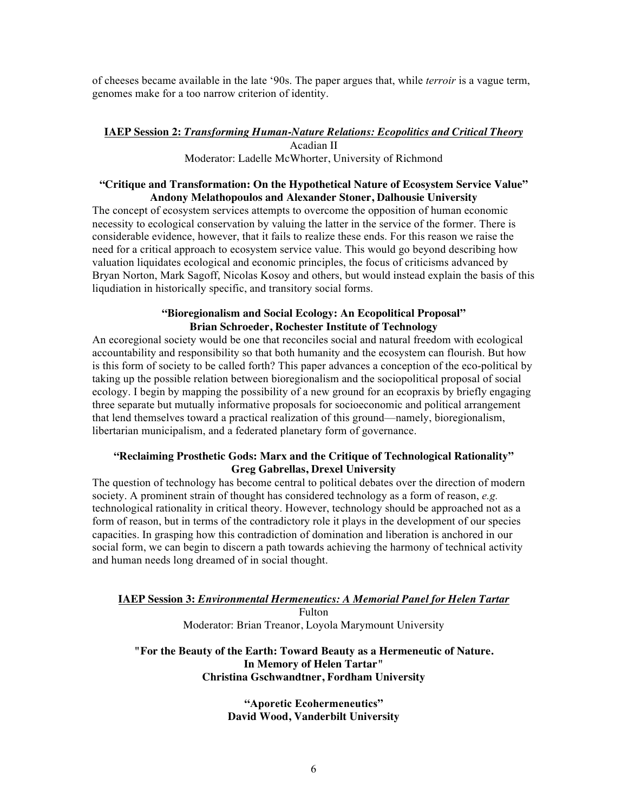of cheeses became available in the late '90s. The paper argues that, while *terroir* is a vague term, genomes make for a too narrow criterion of identity.

### **IAEP Session 2:** *Transforming Human-Nature Relations: Ecopolitics and Critical Theory* Acadian II Moderator: Ladelle McWhorter, University of Richmond

### **"Critique and Transformation: On the Hypothetical Nature of Ecosystem Service Value" Andony Melathopoulos and Alexander Stoner, Dalhousie University**

The concept of ecosystem services attempts to overcome the opposition of human economic necessity to ecological conservation by valuing the latter in the service of the former. There is considerable evidence, however, that it fails to realize these ends. For this reason we raise the need for a critical approach to ecosystem service value. This would go beyond describing how valuation liquidates ecological and economic principles, the focus of criticisms advanced by Bryan Norton, Mark Sagoff, Nicolas Kosoy and others, but would instead explain the basis of this liqudiation in historically specific, and transitory social forms.

### **"Bioregionalism and Social Ecology: An Ecopolitical Proposal" Brian Schroeder, Rochester Institute of Technology**

An ecoregional society would be one that reconciles social and natural freedom with ecological accountability and responsibility so that both humanity and the ecosystem can flourish. But how is this form of society to be called forth? This paper advances a conception of the eco-political by taking up the possible relation between bioregionalism and the sociopolitical proposal of social ecology. I begin by mapping the possibility of a new ground for an ecopraxis by briefly engaging three separate but mutually informative proposals for socioeconomic and political arrangement that lend themselves toward a practical realization of this ground—namely, bioregionalism, libertarian municipalism, and a federated planetary form of governance.

### **"Reclaiming Prosthetic Gods: Marx and the Critique of Technological Rationality" Greg Gabrellas, Drexel University**

The question of technology has become central to political debates over the direction of modern society. A prominent strain of thought has considered technology as a form of reason, *e.g.* technological rationality in critical theory. However, technology should be approached not as a form of reason, but in terms of the contradictory role it plays in the development of our species capacities. In grasping how this contradiction of domination and liberation is anchored in our social form, we can begin to discern a path towards achieving the harmony of technical activity and human needs long dreamed of in social thought.

### **IAEP Session 3:** *Environmental Hermeneutics: A Memorial Panel for Helen Tartar* Fulton Moderator: Brian Treanor, Loyola Marymount University

### **"For the Beauty of the Earth: Toward Beauty as a Hermeneutic of Nature. In Memory of Helen Tartar" Christina Gschwandtner, Fordham University**

**"Aporetic Ecohermeneutics" David Wood, Vanderbilt University**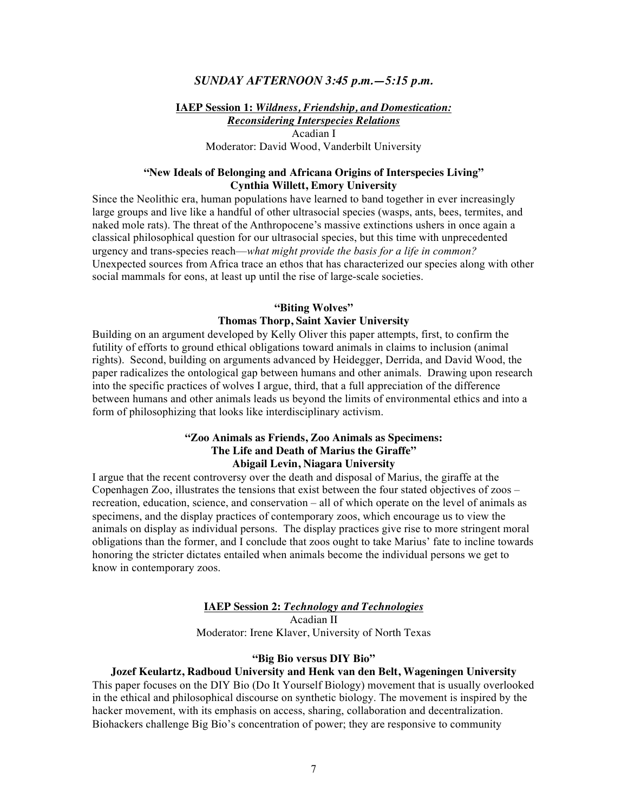### *SUNDAY AFTERNOON 3:45 p.m.—5:15 p.m.*

**IAEP Session 1:** *Wildness, Friendship, and Domestication: Reconsidering Interspecies Relations* Acadian I Moderator: David Wood, Vanderbilt University

### **"New Ideals of Belonging and Africana Origins of Interspecies Living" Cynthia Willett, Emory University**

Since the Neolithic era, human populations have learned to band together in ever increasingly large groups and live like a handful of other ultrasocial species (wasps, ants, bees, termites, and naked mole rats). The threat of the Anthropocene's massive extinctions ushers in once again a classical philosophical question for our ultrasocial species, but this time with unprecedented urgency and trans-species reach—*what might provide the basis for a life in common?* Unexpected sources from Africa trace an ethos that has characterized our species along with other social mammals for eons, at least up until the rise of large-scale societies.

#### **"Biting Wolves"**

### **Thomas Thorp, Saint Xavier University**

Building on an argument developed by Kelly Oliver this paper attempts, first, to confirm the futility of efforts to ground ethical obligations toward animals in claims to inclusion (animal rights). Second, building on arguments advanced by Heidegger, Derrida, and David Wood, the paper radicalizes the ontological gap between humans and other animals. Drawing upon research into the specific practices of wolves I argue, third, that a full appreciation of the difference between humans and other animals leads us beyond the limits of environmental ethics and into a form of philosophizing that looks like interdisciplinary activism.

### **"Zoo Animals as Friends, Zoo Animals as Specimens: The Life and Death of Marius the Giraffe" Abigail Levin, Niagara University**

I argue that the recent controversy over the death and disposal of Marius, the giraffe at the Copenhagen Zoo, illustrates the tensions that exist between the four stated objectives of zoos – recreation, education, science, and conservation – all of which operate on the level of animals as specimens, and the display practices of contemporary zoos, which encourage us to view the animals on display as individual persons. The display practices give rise to more stringent moral obligations than the former, and I conclude that zoos ought to take Marius' fate to incline towards honoring the stricter dictates entailed when animals become the individual persons we get to know in contemporary zoos.

#### **IAEP Session 2:** *Technology and Technologies*

Acadian II

Moderator: Irene Klaver, University of North Texas

#### **"Big Bio versus DIY Bio"**

#### **Jozef Keulartz, Radboud University and Henk van den Belt, Wageningen University**

This paper focuses on the DIY Bio (Do It Yourself Biology) movement that is usually overlooked in the ethical and philosophical discourse on synthetic biology. The movement is inspired by the hacker movement, with its emphasis on access, sharing, collaboration and decentralization. Biohackers challenge Big Bio's concentration of power; they are responsive to community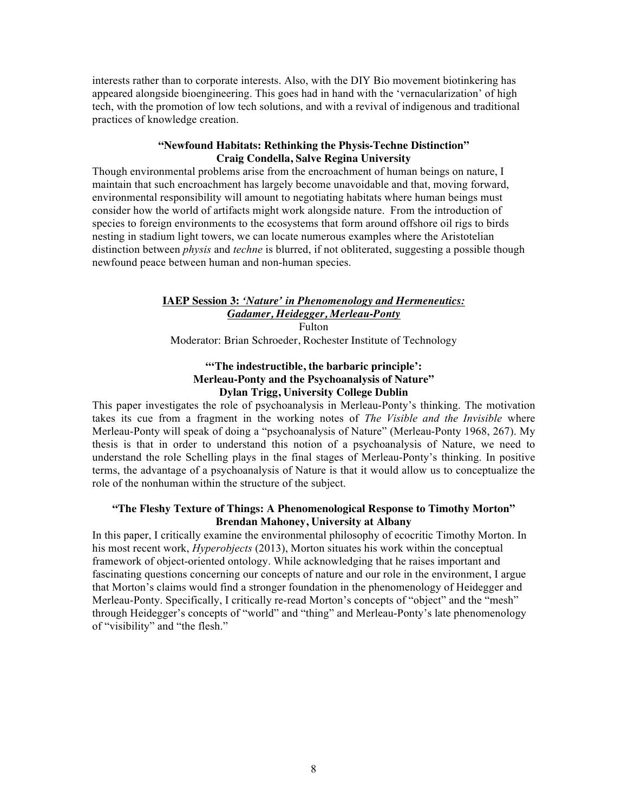interests rather than to corporate interests. Also, with the DIY Bio movement biotinkering has appeared alongside bioengineering. This goes had in hand with the 'vernacularization' of high tech, with the promotion of low tech solutions, and with a revival of indigenous and traditional practices of knowledge creation.

### **"Newfound Habitats: Rethinking the Physis-Techne Distinction" Craig Condella, Salve Regina University**

Though environmental problems arise from the encroachment of human beings on nature, I maintain that such encroachment has largely become unavoidable and that, moving forward, environmental responsibility will amount to negotiating habitats where human beings must consider how the world of artifacts might work alongside nature. From the introduction of species to foreign environments to the ecosystems that form around offshore oil rigs to birds nesting in stadium light towers, we can locate numerous examples where the Aristotelian distinction between *physis* and *techne* is blurred, if not obliterated, suggesting a possible though newfound peace between human and non-human species.

### **IAEP Session 3:** *'Nature' in Phenomenology and Hermeneutics: Gadamer, Heidegger, Merleau-Ponty* Fulton

Moderator: Brian Schroeder, Rochester Institute of Technology

### **"'The indestructible, the barbaric principle': Merleau-Ponty and the Psychoanalysis of Nature" Dylan Trigg, University College Dublin**

This paper investigates the role of psychoanalysis in Merleau-Ponty's thinking. The motivation takes its cue from a fragment in the working notes of *The Visible and the Invisible* where Merleau-Ponty will speak of doing a "psychoanalysis of Nature" (Merleau-Ponty 1968, 267). My thesis is that in order to understand this notion of a psychoanalysis of Nature, we need to understand the role Schelling plays in the final stages of Merleau-Ponty's thinking. In positive terms, the advantage of a psychoanalysis of Nature is that it would allow us to conceptualize the role of the nonhuman within the structure of the subject.

### **"The Fleshy Texture of Things: A Phenomenological Response to Timothy Morton" Brendan Mahoney, University at Albany**

In this paper, I critically examine the environmental philosophy of ecocritic Timothy Morton. In his most recent work, *Hyperobjects* (2013), Morton situates his work within the conceptual framework of object-oriented ontology. While acknowledging that he raises important and fascinating questions concerning our concepts of nature and our role in the environment, I argue that Morton's claims would find a stronger foundation in the phenomenology of Heidegger and Merleau-Ponty. Specifically, I critically re-read Morton's concepts of "object" and the "mesh" through Heidegger's concepts of "world" and "thing" and Merleau-Ponty's late phenomenology of "visibility" and "the flesh."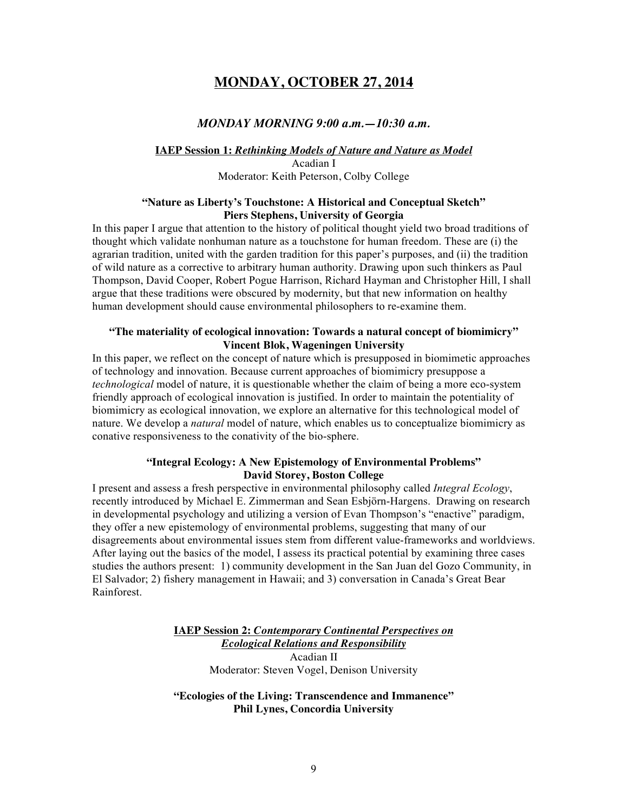# **MONDAY, OCTOBER 27, 2014**

### *MONDAY MORNING 9:00 a.m.—10:30 a.m.*

#### **IAEP Session 1:** *Rethinking Models of Nature and Nature as Model* Acadian I

Moderator: Keith Peterson, Colby College

### **"Nature as Liberty's Touchstone: A Historical and Conceptual Sketch" Piers Stephens, University of Georgia**

In this paper I argue that attention to the history of political thought yield two broad traditions of thought which validate nonhuman nature as a touchstone for human freedom. These are (i) the agrarian tradition, united with the garden tradition for this paper's purposes, and (ii) the tradition of wild nature as a corrective to arbitrary human authority. Drawing upon such thinkers as Paul Thompson, David Cooper, Robert Pogue Harrison, Richard Hayman and Christopher Hill, I shall argue that these traditions were obscured by modernity, but that new information on healthy human development should cause environmental philosophers to re-examine them.

### **"The materiality of ecological innovation: Towards a natural concept of biomimicry" Vincent Blok, Wageningen University**

In this paper, we reflect on the concept of nature which is presupposed in biomimetic approaches of technology and innovation. Because current approaches of biomimicry presuppose a *technological* model of nature, it is questionable whether the claim of being a more eco-system friendly approach of ecological innovation is justified. In order to maintain the potentiality of biomimicry as ecological innovation, we explore an alternative for this technological model of nature. We develop a *natural* model of nature, which enables us to conceptualize biomimicry as conative responsiveness to the conativity of the bio-sphere.

### **"Integral Ecology: A New Epistemology of Environmental Problems" David Storey, Boston College**

I present and assess a fresh perspective in environmental philosophy called *Integral Ecology*, recently introduced by Michael E. Zimmerman and Sean Esbjörn-Hargens. Drawing on research in developmental psychology and utilizing a version of Evan Thompson's "enactive" paradigm, they offer a new epistemology of environmental problems, suggesting that many of our disagreements about environmental issues stem from different value-frameworks and worldviews. After laying out the basics of the model, I assess its practical potential by examining three cases studies the authors present: 1) community development in the San Juan del Gozo Community, in El Salvador; 2) fishery management in Hawaii; and 3) conversation in Canada's Great Bear Rainforest.

> **IAEP Session 2:** *Contemporary Continental Perspectives on Ecological Relations and Responsibility* Acadian II Moderator: Steven Vogel, Denison University

### **"Ecologies of the Living: Transcendence and Immanence" Phil Lynes, Concordia University**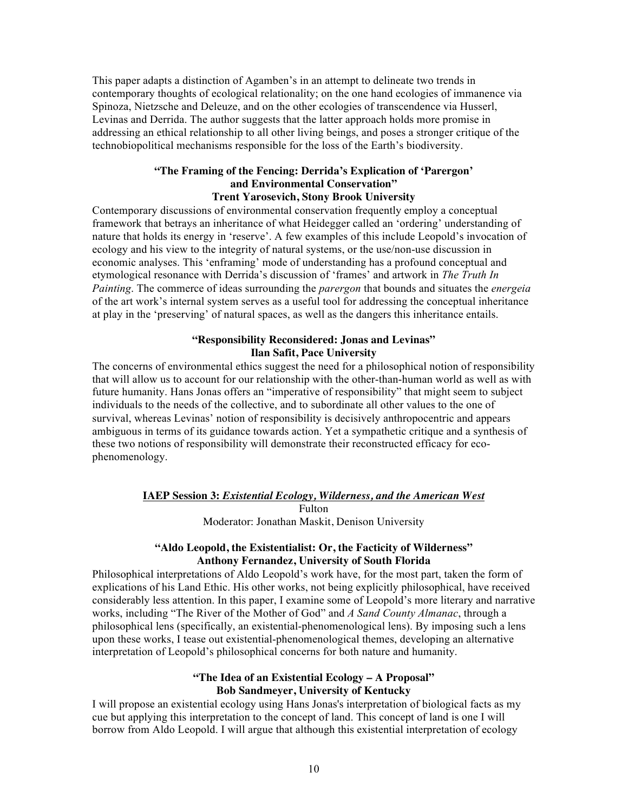This paper adapts a distinction of Agamben's in an attempt to delineate two trends in contemporary thoughts of ecological relationality; on the one hand ecologies of immanence via Spinoza, Nietzsche and Deleuze, and on the other ecologies of transcendence via Husserl, Levinas and Derrida. The author suggests that the latter approach holds more promise in addressing an ethical relationship to all other living beings, and poses a stronger critique of the technobiopolitical mechanisms responsible for the loss of the Earth's biodiversity.

### **"The Framing of the Fencing: Derrida's Explication of 'Parergon' and Environmental Conservation" Trent Yarosevich, Stony Brook University**

Contemporary discussions of environmental conservation frequently employ a conceptual framework that betrays an inheritance of what Heidegger called an 'ordering' understanding of nature that holds its energy in 'reserve'. A few examples of this include Leopold's invocation of ecology and his view to the integrity of natural systems, or the use/non-use discussion in economic analyses. This 'enframing' mode of understanding has a profound conceptual and etymological resonance with Derrida's discussion of 'frames' and artwork in *The Truth In Painting*. The commerce of ideas surrounding the *parergon* that bounds and situates the *energeia* of the art work's internal system serves as a useful tool for addressing the conceptual inheritance at play in the 'preserving' of natural spaces, as well as the dangers this inheritance entails.

### **"Responsibility Reconsidered: Jonas and Levinas" Ilan Safit, Pace University**

The concerns of environmental ethics suggest the need for a philosophical notion of responsibility that will allow us to account for our relationship with the other-than-human world as well as with future humanity. Hans Jonas offers an "imperative of responsibility" that might seem to subject individuals to the needs of the collective, and to subordinate all other values to the one of survival, whereas Levinas' notion of responsibility is decisively anthropocentric and appears ambiguous in terms of its guidance towards action. Yet a sympathetic critique and a synthesis of these two notions of responsibility will demonstrate their reconstructed efficacy for ecophenomenology.

### **IAEP Session 3:** *Existential Ecology, Wilderness, and the American West* Fulton Moderator: Jonathan Maskit, Denison University

### **"Aldo Leopold, the Existentialist: Or, the Facticity of Wilderness" Anthony Fernandez, University of South Florida**

Philosophical interpretations of Aldo Leopold's work have, for the most part, taken the form of explications of his Land Ethic. His other works, not being explicitly philosophical, have received considerably less attention. In this paper, I examine some of Leopold's more literary and narrative works, including "The River of the Mother of God" and *A Sand County Almanac*, through a philosophical lens (specifically, an existential-phenomenological lens). By imposing such a lens upon these works, I tease out existential-phenomenological themes, developing an alternative interpretation of Leopold's philosophical concerns for both nature and humanity.

### **"The Idea of an Existential Ecology – A Proposal" Bob Sandmeyer, University of Kentucky**

I will propose an existential ecology using Hans Jonas's interpretation of biological facts as my cue but applying this interpretation to the concept of land. This concept of land is one I will borrow from Aldo Leopold. I will argue that although this existential interpretation of ecology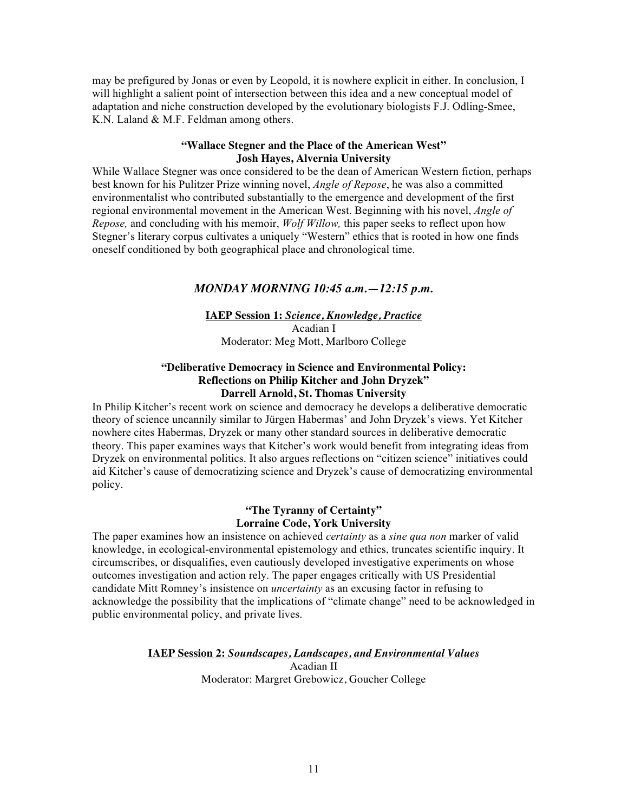may be prefigured by Jonas or even by Leopold, it is nowhere explicit in either. In conclusion, I will highlight a salient point of intersection between this idea and a new conceptual model of adaptation and niche construction developed by the evolutionary biologists F.J. Odling-Smee, K.N. Laland & M.F. Feldman among others.

### **"Wallace Stegner and the Place of the American West" Josh Hayes, Alvernia University**

While Wallace Stegner was once considered to be the dean of American Western fiction, perhaps best known for his Pulitzer Prize winning novel, *Angle of Repose*, he was also a committed environmentalist who contributed substantially to the emergence and development of the first regional environmental movement in the American West. Beginning with his novel, *Angle of Repose,* and concluding with his memoir, *Wolf Willow,* this paper seeks to reflect upon how Stegner's literary corpus cultivates a uniquely "Western" ethics that is rooted in how one finds oneself conditioned by both geographical place and chronological time.

# *MONDAY MORNING 10:45 a.m.—12:15 p.m.*

### **IAEP Session 1:** *Science, Knowledge, Practice* Acadian I Moderator: Meg Mott, Marlboro College

### **"Deliberative Democracy in Science and Environmental Policy: Reflections on Philip Kitcher and John Dryzek" Darrell Arnold, St. Thomas University**

In Philip Kitcher's recent work on science and democracy he develops a deliberative democratic theory of science uncannily similar to Jürgen Habermas' and John Dryzek's views. Yet Kitcher nowhere cites Habermas, Dryzek or many other standard sources in deliberative democratic theory. This paper examines ways that Kitcher's work would benefit from integrating ideas from Dryzek on environmental politics. It also argues reflections on "citizen science" initiatives could aid Kitcher's cause of democratizing science and Dryzek's cause of democratizing environmental policy.

### **"The Tyranny of Certainty" Lorraine Code, York University**

The paper examines how an insistence on achieved *certainty* as a *sine qua non* marker of valid knowledge, in ecological-environmental epistemology and ethics, truncates scientific inquiry. It circumscribes, or disqualifies, even cautiously developed investigative experiments on whose outcomes investigation and action rely. The paper engages critically with US Presidential candidate Mitt Romney's insistence on *uncertainty* as an excusing factor in refusing to acknowledge the possibility that the implications of "climate change" need to be acknowledged in public environmental policy, and private lives.

**IAEP Session 2:** *Soundscapes, Landscapes, and Environmental Values*

Acadian II Moderator: Margret Grebowicz, Goucher College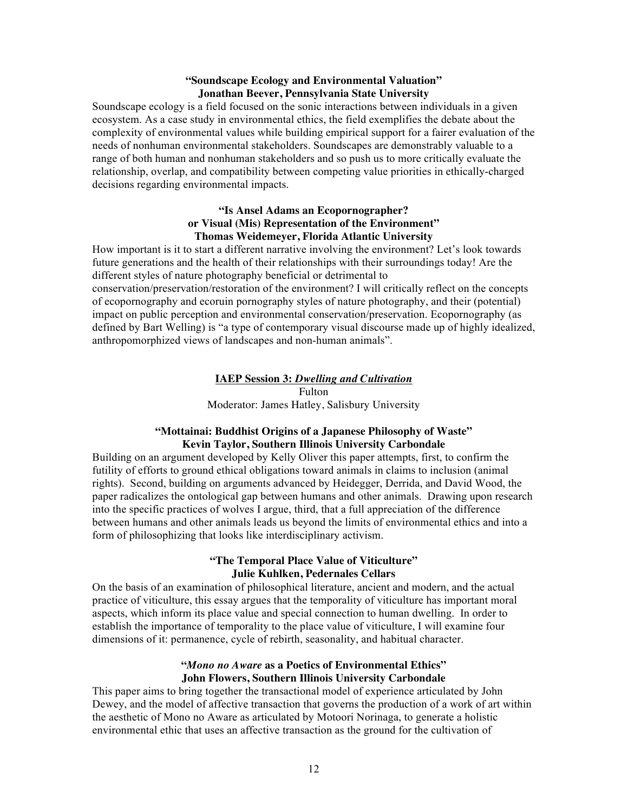### **"Soundscape Ecology and Environmental Valuation" Jonathan Beever, Pennsylvania State University**

Soundscape ecology is a field focused on the sonic interactions between individuals in a given ecosystem. As a case study in environmental ethics, the field exemplifies the debate about the complexity of environmental values while building empirical support for a fairer evaluation of the needs of nonhuman environmental stakeholders. Soundscapes are demonstrably valuable to a range of both human and nonhuman stakeholders and so push us to more critically evaluate the relationship, overlap, and compatibility between competing value priorities in ethically-charged decisions regarding environmental impacts.

### **"Is Ansel Adams an Ecopornographer? or Visual (Mis) Representation of the Environment" Thomas Weidemeyer, Florida Atlantic University**

How important is it to start a different narrative involving the environment? Let's look towards future generations and the health of their relationships with their surroundings today! Are the different styles of nature photography beneficial or detrimental to conservation/preservation/restoration of the environment? I will critically reflect on the concepts of ecopornography and ecoruin pornography styles of nature photography, and their (potential) impact on public perception and environmental conservation/preservation. Ecopornography (as defined by Bart Welling) is "a type of contemporary visual discourse made up of highly idealized, anthropomorphized views of landscapes and non-human animals".

### **IAEP Session 3:** *Dwelling and Cultivation* Fulton Moderator: James Hatley, Salisbury University

### **"Mottainai: Buddhist Origins of a Japanese Philosophy of Waste" Kevin Taylor, Southern Illinois University Carbondale**

Building on an argument developed by Kelly Oliver this paper attempts, first, to confirm the futility of efforts to ground ethical obligations toward animals in claims to inclusion (animal rights). Second, building on arguments advanced by Heidegger, Derrida, and David Wood, the paper radicalizes the ontological gap between humans and other animals. Drawing upon research into the specific practices of wolves I argue, third, that a full appreciation of the difference between humans and other animals leads us beyond the limits of environmental ethics and into a form of philosophizing that looks like interdisciplinary activism.

### **"The Temporal Place Value of Viticulture" Julie Kuhlken, Pedernales Cellars**

On the basis of an examination of philosophical literature, ancient and modern, and the actual practice of viticulture, this essay argues that the temporality of viticulture has important moral aspects, which inform its place value and special connection to human dwelling. In order to establish the importance of temporality to the place value of viticulture, I will examine four dimensions of it: permanence, cycle of rebirth, seasonality, and habitual character.

### **"***Mono no Aware* **as a Poetics of Environmental Ethics" John Flowers, Southern Illinois University Carbondale**

This paper aims to bring together the transactional model of experience articulated by John Dewey, and the model of affective transaction that governs the production of a work of art within the aesthetic of Mono no Aware as articulated by Motoori Norinaga, to generate a holistic environmental ethic that uses an affective transaction as the ground for the cultivation of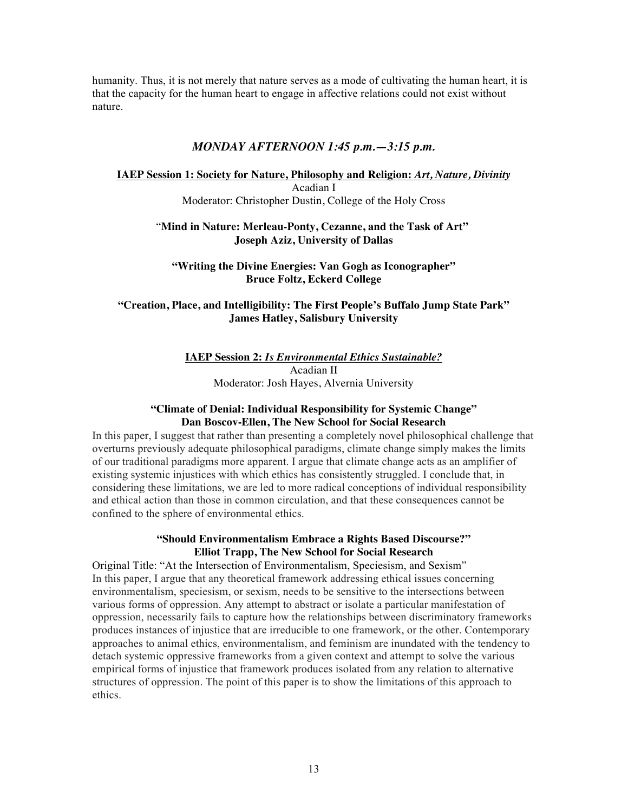humanity. Thus, it is not merely that nature serves as a mode of cultivating the human heart, it is that the capacity for the human heart to engage in affective relations could not exist without nature.

### *MONDAY AFTERNOON 1:45 p.m.—3:15 p.m.*

### **IAEP Session 1: Society for Nature, Philosophy and Religion:** *Art, Nature, Divinity* Acadian I Moderator: Christopher Dustin, College of the Holy Cross

### "**Mind in Nature: Merleau-Ponty, Cezanne, and the Task of Art" Joseph Aziz, University of Dallas**

### **"Writing the Divine Energies: Van Gogh as Iconographer" Bruce Foltz, Eckerd College**

### **"Creation, Place, and Intelligibility: The First People's Buffalo Jump State Park" James Hatley, Salisbury University**

**IAEP Session 2:** *Is Environmental Ethics Sustainable?* Acadian II Moderator: Josh Hayes, Alvernia University

### **"Climate of Denial: Individual Responsibility for Systemic Change" Dan Boscov-Ellen, The New School for Social Research**

In this paper, I suggest that rather than presenting a completely novel philosophical challenge that overturns previously adequate philosophical paradigms, climate change simply makes the limits of our traditional paradigms more apparent. I argue that climate change acts as an amplifier of existing systemic injustices with which ethics has consistently struggled. I conclude that, in considering these limitations, we are led to more radical conceptions of individual responsibility and ethical action than those in common circulation, and that these consequences cannot be confined to the sphere of environmental ethics.

### **"Should Environmentalism Embrace a Rights Based Discourse?" Elliot Trapp, The New School for Social Research**

Original Title: "At the Intersection of Environmentalism, Speciesism, and Sexism" In this paper, I argue that any theoretical framework addressing ethical issues concerning environmentalism, speciesism, or sexism, needs to be sensitive to the intersections between various forms of oppression. Any attempt to abstract or isolate a particular manifestation of oppression, necessarily fails to capture how the relationships between discriminatory frameworks produces instances of injustice that are irreducible to one framework, or the other. Contemporary approaches to animal ethics, environmentalism, and feminism are inundated with the tendency to detach systemic oppressive frameworks from a given context and attempt to solve the various empirical forms of injustice that framework produces isolated from any relation to alternative structures of oppression. The point of this paper is to show the limitations of this approach to ethics.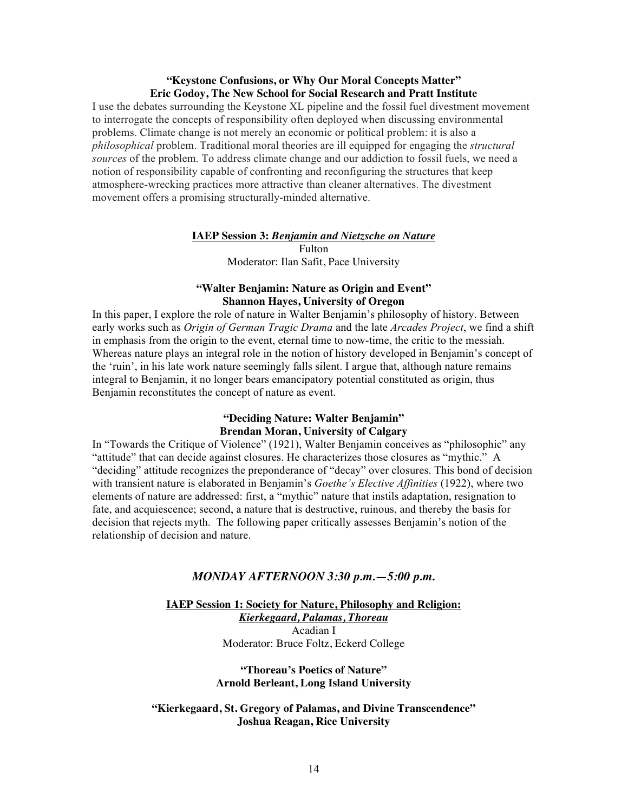### **"Keystone Confusions, or Why Our Moral Concepts Matter" Eric Godoy, The New School for Social Research and Pratt Institute**

I use the debates surrounding the Keystone XL pipeline and the fossil fuel divestment movement to interrogate the concepts of responsibility often deployed when discussing environmental problems. Climate change is not merely an economic or political problem: it is also a *philosophical* problem. Traditional moral theories are ill equipped for engaging the *structural sources* of the problem. To address climate change and our addiction to fossil fuels, we need a notion of responsibility capable of confronting and reconfiguring the structures that keep atmosphere-wrecking practices more attractive than cleaner alternatives. The divestment movement offers a promising structurally-minded alternative.

### **IAEP Session 3:** *Benjamin and Nietzsche on Nature*

Fulton Moderator: Ilan Safit, Pace University

### **"Walter Benjamin: Nature as Origin and Event" Shannon Hayes, University of Oregon**

In this paper, I explore the role of nature in Walter Benjamin's philosophy of history. Between early works such as *Origin of German Tragic Drama* and the late *Arcades Project*, we find a shift in emphasis from the origin to the event, eternal time to now-time, the critic to the messiah. Whereas nature plays an integral role in the notion of history developed in Benjamin's concept of the 'ruin', in his late work nature seemingly falls silent. I argue that, although nature remains integral to Benjamin, it no longer bears emancipatory potential constituted as origin, thus Benjamin reconstitutes the concept of nature as event.

### **"Deciding Nature: Walter Benjamin" Brendan Moran, University of Calgary**

In "Towards the Critique of Violence" (1921), Walter Benjamin conceives as "philosophic" any "attitude" that can decide against closures. He characterizes those closures as "mythic." A "deciding" attitude recognizes the preponderance of "decay" over closures. This bond of decision with transient nature is elaborated in Benjamin's *Goethe's Elective Affinities* (1922), where two elements of nature are addressed: first, a "mythic" nature that instils adaptation, resignation to fate, and acquiescence; second, a nature that is destructive, ruinous, and thereby the basis for decision that rejects myth. The following paper critically assesses Benjamin's notion of the relationship of decision and nature.

### *MONDAY AFTERNOON 3:30 p.m.—5:00 p.m.*

**IAEP Session 1: Society for Nature, Philosophy and Religion:**  *Kierkegaard, Palamas, Thoreau* Acadian I

Moderator: Bruce Foltz, Eckerd College

### **"Thoreau's Poetics of Nature" Arnold Berleant, Long Island University**

### **"Kierkegaard, St. Gregory of Palamas, and Divine Transcendence" Joshua Reagan, Rice University**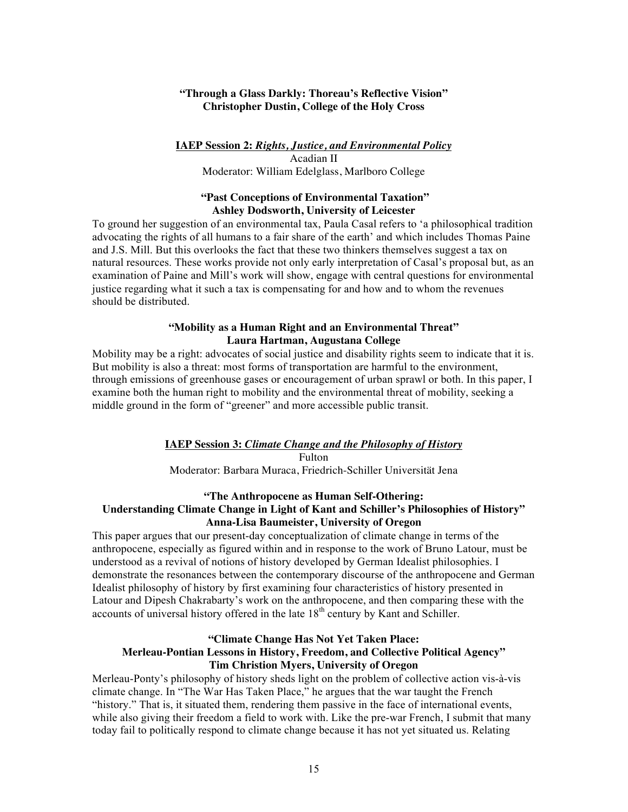### **"Through a Glass Darkly: Thoreau's Reflective Vision" Christopher Dustin, College of the Holy Cross**

### **IAEP Session 2:** *Rights, Justice, and Environmental Policy*

Acadian II Moderator: William Edelglass, Marlboro College

### **"Past Conceptions of Environmental Taxation" Ashley Dodsworth, University of Leicester**

To ground her suggestion of an environmental tax, Paula Casal refers to 'a philosophical tradition advocating the rights of all humans to a fair share of the earth' and which includes Thomas Paine and J.S. Mill. But this overlooks the fact that these two thinkers themselves suggest a tax on natural resources. These works provide not only early interpretation of Casal's proposal but, as an examination of Paine and Mill's work will show, engage with central questions for environmental justice regarding what it such a tax is compensating for and how and to whom the revenues should be distributed.

### **"Mobility as a Human Right and an Environmental Threat" Laura Hartman, Augustana College**

Mobility may be a right: advocates of social justice and disability rights seem to indicate that it is. But mobility is also a threat: most forms of transportation are harmful to the environment, through emissions of greenhouse gases or encouragement of urban sprawl or both. In this paper, I examine both the human right to mobility and the environmental threat of mobility, seeking a middle ground in the form of "greener" and more accessible public transit.

# **IAEP Session 3:** *Climate Change and the Philosophy of History* Fulton

Moderator: Barbara Muraca, Friedrich-Schiller Universität Jena

### **"The Anthropocene as Human Self-Othering: Understanding Climate Change in Light of Kant and Schiller's Philosophies of History" Anna-Lisa Baumeister, University of Oregon**

This paper argues that our present-day conceptualization of climate change in terms of the anthropocene, especially as figured within and in response to the work of Bruno Latour, must be understood as a revival of notions of history developed by German Idealist philosophies. I demonstrate the resonances between the contemporary discourse of the anthropocene and German Idealist philosophy of history by first examining four characteristics of history presented in Latour and Dipesh Chakrabarty's work on the anthropocene, and then comparing these with the accounts of universal history offered in the late  $18<sup>th</sup>$  century by Kant and Schiller.

### **"Climate Change Has Not Yet Taken Place: Merleau-Pontian Lessons in History, Freedom, and Collective Political Agency" Tim Christion Myers, University of Oregon**

Merleau-Ponty's philosophy of history sheds light on the problem of collective action vis-à-vis climate change. In "The War Has Taken Place," he argues that the war taught the French "history." That is, it situated them, rendering them passive in the face of international events, while also giving their freedom a field to work with. Like the pre-war French, I submit that many today fail to politically respond to climate change because it has not yet situated us. Relating